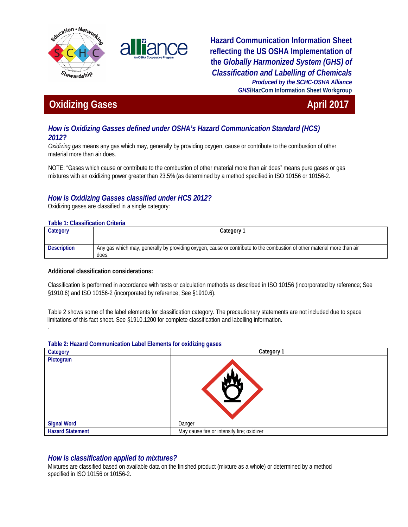



**Hazard Communication Information Sheet reflecting the US OSHA Implementation of the** *Globally Harmonized System (GHS) of Classification and Labelling of Chemicals Produced by the SCHC-OSHA Alliance GHS***/HazCom Information Sheet Workgroup**

# **Oxidizing Gases April 2017**

# *How is Oxidizing Gasses defined under OSHA's Hazard Communication Standard (HCS) 2012?*

*Oxidizing gas* means any gas which may, generally by providing oxygen, cause or contribute to the combustion of other material more than air does.

NOTE: "Gases which cause or contribute to the combustion of other material more than air does" means pure gases or gas mixtures with an oxidizing power greater than 23.5% (as determined by a method specified in ISO 10156 or 10156-2.

# *How is Oxidizing Gasses classified under HCS 2012?*

Oxidizing gases are classified in a single category:

#### **Table 1: Classification Criteria**

.

| Category           | Category 1                                                                                                                       |
|--------------------|----------------------------------------------------------------------------------------------------------------------------------|
| <b>Description</b> | Any gas which may, generally by providing oxygen, cause or contribute to the combustion of other material more than air<br>does. |

### **Additional classification considerations:**

Classification is performed in accordance with tests or calculation methods as described in ISO 10156 (incorporated by reference; See §1910.6) and ISO 10156-2 (incorporated by reference; See §1910.6).

Table 2 shows some of the label elements for classification category. The precautionary statements are not included due to space limitations of this fact sheet. See §1910.1200 for complete classification and labelling information.

#### **Table 2: Hazard Communication Label Elements for oxidizing gases**

| Category                | Category 1                                 |
|-------------------------|--------------------------------------------|
| Pictogram               |                                            |
| <b>Signal Word</b>      | Danger                                     |
| <b>Hazard Statement</b> | May cause fire or intensify fire; oxidizer |

## *How is classification applied to mixtures?*

Mixtures are classified based on available data on the finished product (mixture as a whole) or determined by a method specified in ISO 10156 or 10156-2.